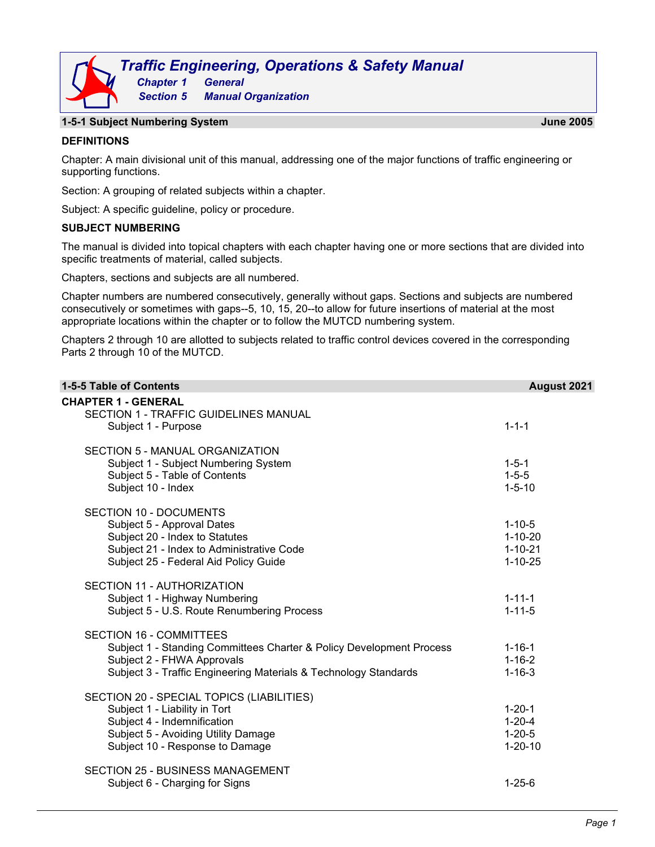

## **1-5-1 Subject Numbering System June 2005**

## **DEFINITIONS**

Chapter: A main divisional unit of this manual, addressing one of the major functions of traffic engineering or supporting functions.

Section: A grouping of related subjects within a chapter.

Subject: A specific guideline, policy or procedure.

## **SUBJECT NUMBERING**

The manual is divided into topical chapters with each chapter having one or more sections that are divided into specific treatments of material, called subjects.

Chapters, sections and subjects are all numbered.

Chapter numbers are numbered consecutively, generally without gaps. Sections and subjects are numbered consecutively or sometimes with gaps--5, 10, 15, 20--to allow for future insertions of material at the most appropriate locations within the chapter or to follow the MUTCD numbering system.

Chapters 2 through 10 are allotted to subjects related to traffic control devices covered in the corresponding Parts 2 through 10 of the MUTCD.

| 1-5-5 Table of Contents                                                    | August 2021   |
|----------------------------------------------------------------------------|---------------|
| <b>CHAPTER 1 - GENERAL</b><br><b>SECTION 1 - TRAFFIC GUIDELINES MANUAL</b> |               |
| Subject 1 - Purpose                                                        | $1 - 1 - 1$   |
| SECTION 5 - MANUAL ORGANIZATION                                            |               |
| Subject 1 - Subject Numbering System                                       | $1 - 5 - 1$   |
| Subject 5 - Table of Contents                                              | $1 - 5 - 5$   |
| Subject 10 - Index                                                         | $1 - 5 - 10$  |
| SECTION 10 - DOCUMENTS                                                     |               |
| Subject 5 - Approval Dates                                                 | $1 - 10 - 5$  |
| Subject 20 - Index to Statutes                                             | $1 - 10 - 20$ |
| Subject 21 - Index to Administrative Code                                  | $1 - 10 - 21$ |
| Subject 25 - Federal Aid Policy Guide                                      | $1 - 10 - 25$ |
| SECTION 11 - AUTHORIZATION                                                 |               |
| Subject 1 - Highway Numbering                                              | $1 - 11 - 1$  |
| Subject 5 - U.S. Route Renumbering Process                                 | $1 - 11 - 5$  |
| <b>SECTION 16 - COMMITTEES</b>                                             |               |
| Subject 1 - Standing Committees Charter & Policy Development Process       | $1 - 16 - 1$  |
| Subject 2 - FHWA Approvals                                                 | $1 - 16 - 2$  |
| Subject 3 - Traffic Engineering Materials & Technology Standards           | $1 - 16 - 3$  |
| SECTION 20 - SPECIAL TOPICS (LIABILITIES)                                  |               |
| Subject 1 - Liability in Tort                                              | $1 - 20 - 1$  |
| Subject 4 - Indemnification                                                | $1 - 20 - 4$  |
| Subject 5 - Avoiding Utility Damage                                        | $1 - 20 - 5$  |
| Subject 10 - Response to Damage                                            | $1 - 20 - 10$ |
| <b>SECTION 25 - BUSINESS MANAGEMENT</b>                                    |               |
| Subject 6 - Charging for Signs                                             | $1 - 25 - 6$  |
|                                                                            |               |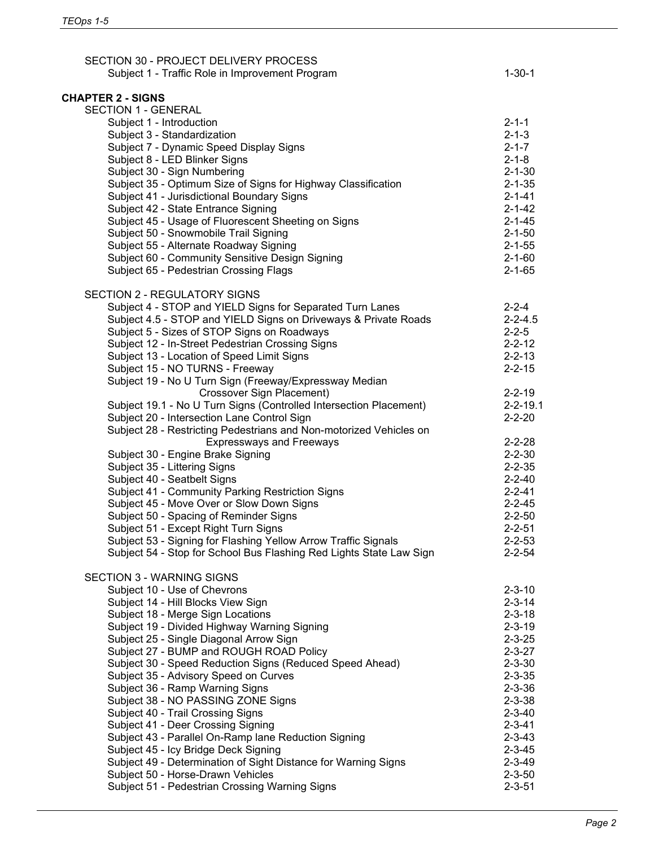| SECTION 30 - PROJECT DELIVERY PROCESS<br>Subject 1 - Traffic Role in Improvement Program | $1 - 30 - 1$                 |
|------------------------------------------------------------------------------------------|------------------------------|
| <b>CHAPTER 2 - SIGNS</b>                                                                 |                              |
| <b>SECTION 1 - GENERAL</b>                                                               |                              |
| Subject 1 - Introduction                                                                 | $2 - 1 - 1$                  |
| Subject 3 - Standardization                                                              | $2 - 1 - 3$                  |
| Subject 7 - Dynamic Speed Display Signs                                                  | $2 - 1 - 7$                  |
| Subject 8 - LED Blinker Signs                                                            | $2 - 1 - 8$                  |
| Subject 30 - Sign Numbering                                                              | $2 - 1 - 30$                 |
| Subject 35 - Optimum Size of Signs for Highway Classification                            | $2 - 1 - 35$                 |
| Subject 41 - Jurisdictional Boundary Signs                                               | $2 - 1 - 41$                 |
| Subject 42 - State Entrance Signing                                                      | $2 - 1 - 42$                 |
| Subject 45 - Usage of Fluorescent Sheeting on Signs                                      | $2 - 1 - 45$                 |
| Subject 50 - Snowmobile Trail Signing                                                    | $2 - 1 - 50$                 |
| Subject 55 - Alternate Roadway Signing                                                   | $2 - 1 - 55$                 |
| Subject 60 - Community Sensitive Design Signing                                          | $2 - 1 - 60$                 |
| Subject 65 - Pedestrian Crossing Flags                                                   | $2 - 1 - 65$                 |
| <b>SECTION 2 - REGULATORY SIGNS</b>                                                      |                              |
| Subject 4 - STOP and YIELD Signs for Separated Turn Lanes                                | $2 - 2 - 4$                  |
| Subject 4.5 - STOP and YIELD Signs on Driveways & Private Roads                          | $2 - 2 - 4.5$                |
| Subject 5 - Sizes of STOP Signs on Roadways                                              | $2 - 2 - 5$                  |
| Subject 12 - In-Street Pedestrian Crossing Signs                                         | $2 - 2 - 12$                 |
| Subject 13 - Location of Speed Limit Signs                                               | $2 - 2 - 13$                 |
| Subject 15 - NO TURNS - Freeway                                                          | $2 - 2 - 15$                 |
| Subject 19 - No U Turn Sign (Freeway/Expressway Median                                   |                              |
| Crossover Sign Placement)                                                                | $2 - 2 - 19$                 |
| Subject 19.1 - No U Turn Signs (Controlled Intersection Placement)                       | $2 - 2 - 19.1$               |
| Subject 20 - Intersection Lane Control Sign                                              | $2 - 2 - 20$                 |
| Subject 28 - Restricting Pedestrians and Non-motorized Vehicles on                       |                              |
| <b>Expressways and Freeways</b>                                                          | $2 - 2 - 28$                 |
| Subject 30 - Engine Brake Signing                                                        | $2 - 2 - 30$                 |
| Subject 35 - Littering Signs                                                             | $2 - 2 - 35$                 |
| Subject 40 - Seatbelt Signs                                                              | $2 - 2 - 40$                 |
| Subject 41 - Community Parking Restriction Signs                                         | $2 - 2 - 41$                 |
| Subject 45 - Move Over or Slow Down Signs                                                | $2 - 2 - 45$                 |
| Subject 50 - Spacing of Reminder Signs                                                   | $2 - 2 - 50$                 |
| Subject 51 - Except Right Turn Signs                                                     | $2 - 2 - 51$                 |
| Subject 53 - Signing for Flashing Yellow Arrow Traffic Signals                           | $2 - 2 - 53$                 |
| Subject 54 - Stop for School Bus Flashing Red Lights State Law Sign                      | $2 - 2 - 54$                 |
| <b>SECTION 3 - WARNING SIGNS</b>                                                         |                              |
| Subject 10 - Use of Chevrons                                                             | $2 - 3 - 10$                 |
| Subject 14 - Hill Blocks View Sign                                                       | $2 - 3 - 14$                 |
| Subject 18 - Merge Sign Locations                                                        | $2 - 3 - 18$                 |
| Subject 19 - Divided Highway Warning Signing                                             | $2 - 3 - 19$                 |
| Subject 25 - Single Diagonal Arrow Sign<br>Subject 27 - BUMP and ROUGH ROAD Policy       | $2 - 3 - 25$                 |
|                                                                                          | $2 - 3 - 27$<br>$2 - 3 - 30$ |
| Subject 30 - Speed Reduction Signs (Reduced Speed Ahead)                                 | $2 - 3 - 35$                 |
| Subject 35 - Advisory Speed on Curves<br>Subject 36 - Ramp Warning Signs                 | $2 - 3 - 36$                 |
|                                                                                          |                              |
| Subject 38 - NO PASSING ZONE Signs<br>Subject 40 - Trail Crossing Signs                  | $2 - 3 - 38$<br>$2 - 3 - 40$ |
| Subject 41 - Deer Crossing Signing                                                       | $2 - 3 - 41$                 |
| Subject 43 - Parallel On-Ramp lane Reduction Signing                                     | $2 - 3 - 43$                 |
| Subject 45 - Icy Bridge Deck Signing                                                     | $2 - 3 - 45$                 |
| Subject 49 - Determination of Sight Distance for Warning Signs                           | $2 - 3 - 49$                 |
| Subject 50 - Horse-Drawn Vehicles                                                        | $2 - 3 - 50$                 |
| Subject 51 - Pedestrian Crossing Warning Signs                                           | $2 - 3 - 51$                 |
|                                                                                          |                              |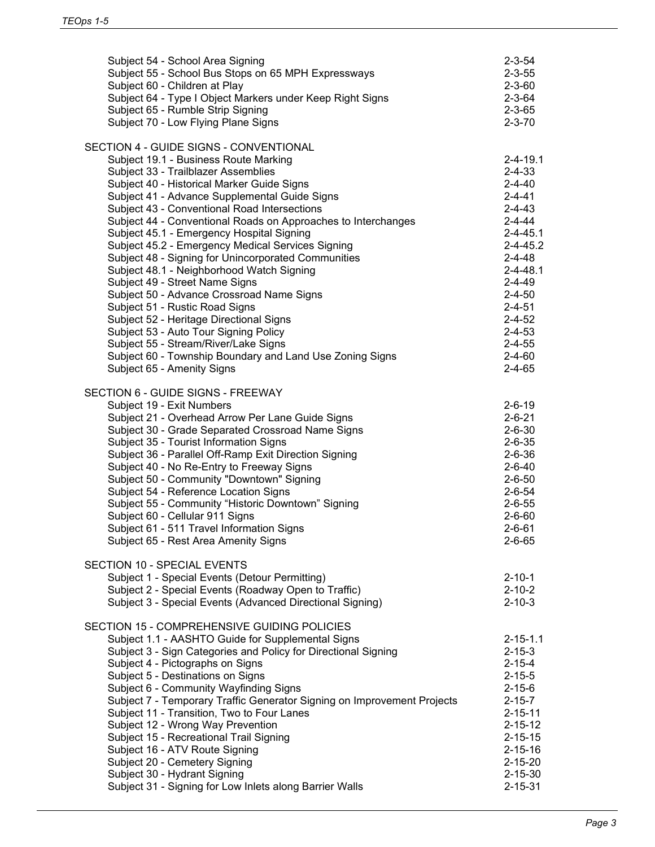| Subject 54 - School Area Signing<br>Subject 55 - School Bus Stops on 65 MPH Expressways<br>Subject 60 - Children at Play<br>Subject 64 - Type I Object Markers under Keep Right Signs<br>Subject 65 - Rumble Strip Signing<br>Subject 70 - Low Flying Plane Signs                                                                                                                                                                                                                                                                                                                                                                                                                                                                                                                                                                                                                   | $2 - 3 - 54$<br>$2 - 3 - 55$<br>$2 - 3 - 60$<br>$2 - 3 - 64$<br>$2 - 3 - 65$<br>$2 - 3 - 70$                                                                                                                                                                                                         |
|-------------------------------------------------------------------------------------------------------------------------------------------------------------------------------------------------------------------------------------------------------------------------------------------------------------------------------------------------------------------------------------------------------------------------------------------------------------------------------------------------------------------------------------------------------------------------------------------------------------------------------------------------------------------------------------------------------------------------------------------------------------------------------------------------------------------------------------------------------------------------------------|------------------------------------------------------------------------------------------------------------------------------------------------------------------------------------------------------------------------------------------------------------------------------------------------------|
| SECTION 4 - GUIDE SIGNS - CONVENTIONAL<br>Subject 19.1 - Business Route Marking<br>Subject 33 - Trailblazer Assemblies<br>Subject 40 - Historical Marker Guide Signs<br>Subject 41 - Advance Supplemental Guide Signs<br>Subject 43 - Conventional Road Intersections<br>Subject 44 - Conventional Roads on Approaches to Interchanges<br>Subject 45.1 - Emergency Hospital Signing<br>Subject 45.2 - Emergency Medical Services Signing<br>Subject 48 - Signing for Unincorporated Communities<br>Subject 48.1 - Neighborhood Watch Signing<br>Subject 49 - Street Name Signs<br>Subject 50 - Advance Crossroad Name Signs<br>Subject 51 - Rustic Road Signs<br>Subject 52 - Heritage Directional Signs<br>Subject 53 - Auto Tour Signing Policy<br>Subject 55 - Stream/River/Lake Signs<br>Subject 60 - Township Boundary and Land Use Zoning Signs<br>Subject 65 - Amenity Signs | $2 - 4 - 19.1$<br>$2 - 4 - 33$<br>$2 - 4 - 40$<br>$2 - 4 - 41$<br>$2 - 4 - 43$<br>$2 - 4 - 44$<br>$2 - 4 - 45.1$<br>$2 - 4 - 45.2$<br>$2 - 4 - 48$<br>$2 - 4 - 48.1$<br>$2 - 4 - 49$<br>$2 - 4 - 50$<br>$2 - 4 - 51$<br>$2 - 4 - 52$<br>$2 - 4 - 53$<br>$2 - 4 - 55$<br>$2 - 4 - 60$<br>$2 - 4 - 65$ |
| SECTION 6 - GUIDE SIGNS - FREEWAY<br>Subject 19 - Exit Numbers<br>Subject 21 - Overhead Arrow Per Lane Guide Signs<br>Subject 30 - Grade Separated Crossroad Name Signs<br>Subject 35 - Tourist Information Signs<br>Subject 36 - Parallel Off-Ramp Exit Direction Signing<br>Subject 40 - No Re-Entry to Freeway Signs<br>Subject 50 - Community "Downtown" Signing<br>Subject 54 - Reference Location Signs<br>Subject 55 - Community "Historic Downtown" Signing<br>Subject 60 - Cellular 911 Signs<br>Subject 61 - 511 Travel Information Signs<br>Subject 65 - Rest Area Amenity Signs                                                                                                                                                                                                                                                                                         | $2 - 6 - 19$<br>$2 - 6 - 21$<br>$2 - 6 - 30$<br>$2 - 6 - 35$<br>$2 - 6 - 36$<br>$2 - 6 - 40$<br>$2 - 6 - 50$<br>$2 - 6 - 54$<br>$2 - 6 - 55$<br>$2 - 6 - 60$<br>$2 - 6 - 61$<br>$2 - 6 - 65$                                                                                                         |
| <b>SECTION 10 - SPECIAL EVENTS</b><br>Subject 1 - Special Events (Detour Permitting)<br>Subject 2 - Special Events (Roadway Open to Traffic)<br>Subject 3 - Special Events (Advanced Directional Signing)                                                                                                                                                                                                                                                                                                                                                                                                                                                                                                                                                                                                                                                                           | $2 - 10 - 1$<br>$2 - 10 - 2$<br>$2 - 10 - 3$                                                                                                                                                                                                                                                         |
| SECTION 15 - COMPREHENSIVE GUIDING POLICIES<br>Subject 1.1 - AASHTO Guide for Supplemental Signs<br>Subject 3 - Sign Categories and Policy for Directional Signing<br>Subject 4 - Pictographs on Signs<br>Subject 5 - Destinations on Signs<br>Subject 6 - Community Wayfinding Signs<br>Subject 7 - Temporary Traffic Generator Signing on Improvement Projects<br>Subject 11 - Transition, Two to Four Lanes<br>Subject 12 - Wrong Way Prevention<br>Subject 15 - Recreational Trail Signing<br>Subject 16 - ATV Route Signing<br>Subject 20 - Cemetery Signing<br>Subject 30 - Hydrant Signing<br>Subject 31 - Signing for Low Inlets along Barrier Walls                                                                                                                                                                                                                        | $2 - 15 - 1.1$<br>$2 - 15 - 3$<br>$2 - 15 - 4$<br>$2 - 15 - 5$<br>$2 - 15 - 6$<br>$2 - 15 - 7$<br>$2 - 15 - 11$<br>$2 - 15 - 12$<br>$2 - 15 - 15$<br>$2 - 15 - 16$<br>$2 - 15 - 20$<br>$2 - 15 - 30$<br>$2 - 15 - 31$                                                                                |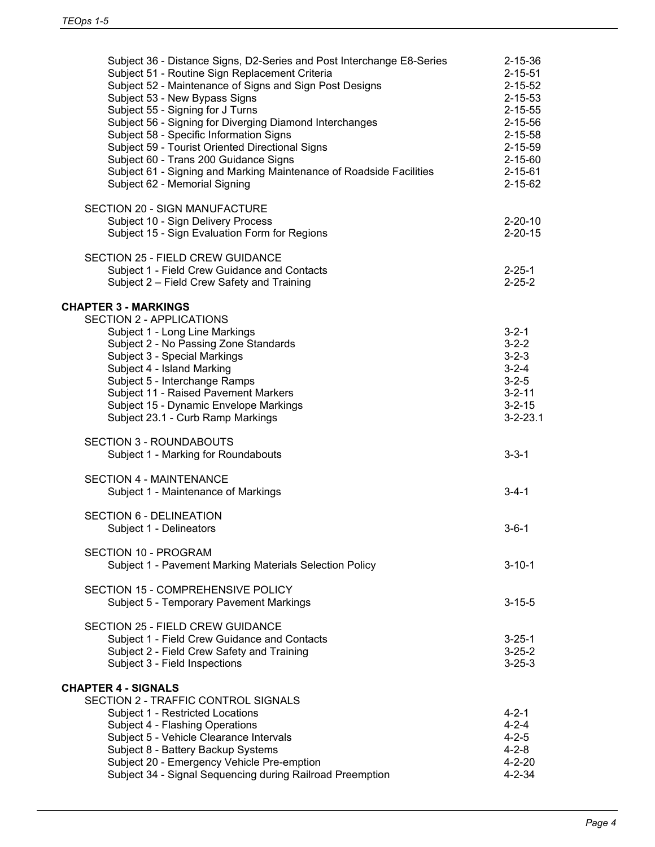| Subject 36 - Distance Signs, D2-Series and Post Interchange E8-Series<br>Subject 51 - Routine Sign Replacement Criteria<br>Subject 52 - Maintenance of Signs and Sign Post Designs<br>Subject 53 - New Bypass Signs<br>Subject 55 - Signing for J Turns<br>Subject 56 - Signing for Diverging Diamond Interchanges<br>Subject 58 - Specific Information Signs<br>Subject 59 - Tourist Oriented Directional Signs<br>Subject 60 - Trans 200 Guidance Signs<br>Subject 61 - Signing and Marking Maintenance of Roadside Facilities<br>Subject 62 - Memorial Signing | $2 - 15 - 36$<br>$2 - 15 - 51$<br>$2 - 15 - 52$<br>$2 - 15 - 53$<br>$2 - 15 - 55$<br>$2 - 15 - 56$<br>$2 - 15 - 58$<br>$2 - 15 - 59$<br>$2 - 15 - 60$<br>$2 - 15 - 61$<br>$2 - 15 - 62$ |
|-------------------------------------------------------------------------------------------------------------------------------------------------------------------------------------------------------------------------------------------------------------------------------------------------------------------------------------------------------------------------------------------------------------------------------------------------------------------------------------------------------------------------------------------------------------------|-----------------------------------------------------------------------------------------------------------------------------------------------------------------------------------------|
| SECTION 20 - SIGN MANUFACTURE<br>Subject 10 - Sign Delivery Process<br>Subject 15 - Sign Evaluation Form for Regions                                                                                                                                                                                                                                                                                                                                                                                                                                              | $2 - 20 - 10$<br>$2 - 20 - 15$                                                                                                                                                          |
| <b>SECTION 25 - FIELD CREW GUIDANCE</b><br>Subject 1 - Field Crew Guidance and Contacts<br>Subject 2 - Field Crew Safety and Training                                                                                                                                                                                                                                                                                                                                                                                                                             | $2 - 25 - 1$<br>$2 - 25 - 2$                                                                                                                                                            |
| <b>CHAPTER 3 - MARKINGS</b><br><b>SECTION 2 - APPLICATIONS</b><br>Subject 1 - Long Line Markings<br>Subject 2 - No Passing Zone Standards<br>Subject 3 - Special Markings<br>Subject 4 - Island Marking<br>Subject 5 - Interchange Ramps<br>Subject 11 - Raised Pavement Markers<br>Subject 15 - Dynamic Envelope Markings<br>Subject 23.1 - Curb Ramp Markings                                                                                                                                                                                                   | $3 - 2 - 1$<br>$3 - 2 - 2$<br>$3 - 2 - 3$<br>$3 - 2 - 4$<br>$3 - 2 - 5$<br>$3 - 2 - 11$<br>$3 - 2 - 15$<br>$3 - 2 - 23.1$                                                               |
| <b>SECTION 3 - ROUNDABOUTS</b><br>Subject 1 - Marking for Roundabouts                                                                                                                                                                                                                                                                                                                                                                                                                                                                                             | $3 - 3 - 1$                                                                                                                                                                             |
| <b>SECTION 4 - MAINTENANCE</b><br>Subject 1 - Maintenance of Markings                                                                                                                                                                                                                                                                                                                                                                                                                                                                                             | $3 - 4 - 1$                                                                                                                                                                             |
| <b>SECTION 6 - DELINEATION</b><br>Subject 1 - Delineators                                                                                                                                                                                                                                                                                                                                                                                                                                                                                                         | $3 - 6 - 1$                                                                                                                                                                             |
| <b>SECTION 10 - PROGRAM</b><br>Subject 1 - Pavement Marking Materials Selection Policy                                                                                                                                                                                                                                                                                                                                                                                                                                                                            | $3 - 10 - 1$                                                                                                                                                                            |
| SECTION 15 - COMPREHENSIVE POLICY<br>Subject 5 - Temporary Pavement Markings                                                                                                                                                                                                                                                                                                                                                                                                                                                                                      | $3 - 15 - 5$                                                                                                                                                                            |
| <b>SECTION 25 - FIELD CREW GUIDANCE</b><br>Subject 1 - Field Crew Guidance and Contacts<br>Subject 2 - Field Crew Safety and Training<br>Subject 3 - Field Inspections                                                                                                                                                                                                                                                                                                                                                                                            | $3 - 25 - 1$<br>$3 - 25 - 2$<br>$3 - 25 - 3$                                                                                                                                            |
| <b>CHAPTER 4 - SIGNALS</b><br>SECTION 2 - TRAFFIC CONTROL SIGNALS<br>Subject 1 - Restricted Locations<br>Subject 4 - Flashing Operations<br>Subject 5 - Vehicle Clearance Intervals<br>Subject 8 - Battery Backup Systems<br>Subject 20 - Emergency Vehicle Pre-emption<br>Subject 34 - Signal Sequencing during Railroad Preemption                                                                                                                                                                                                                              | 4-2-1<br>$4 - 2 - 4$<br>$4 - 2 - 5$<br>$4 - 2 - 8$<br>$4 - 2 - 20$<br>$4 - 2 - 34$                                                                                                      |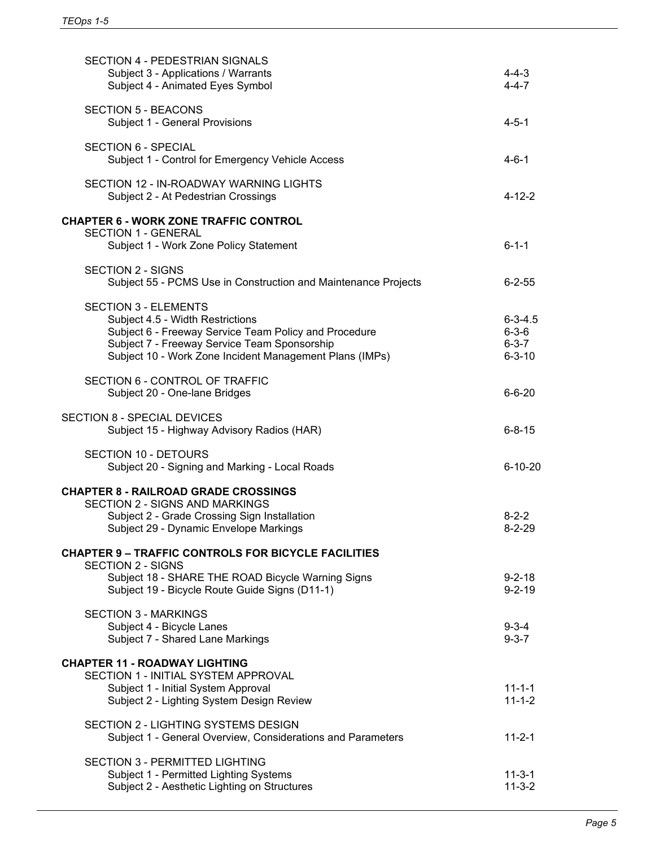| SECTION 4 - PEDESTRIAN SIGNALS<br>Subject 3 - Applications / Warrants<br>Subject 4 - Animated Eyes Symbol                                                                                                                           | 4-4-3<br>$4 - 4 - 7$                                        |
|-------------------------------------------------------------------------------------------------------------------------------------------------------------------------------------------------------------------------------------|-------------------------------------------------------------|
| <b>SECTION 5 - BEACONS</b><br>Subject 1 - General Provisions                                                                                                                                                                        | $4 - 5 - 1$                                                 |
| <b>SECTION 6 - SPECIAL</b><br>Subject 1 - Control for Emergency Vehicle Access                                                                                                                                                      | $4 - 6 - 1$                                                 |
| SECTION 12 - IN-ROADWAY WARNING LIGHTS<br>Subject 2 - At Pedestrian Crossings                                                                                                                                                       | $4 - 12 - 2$                                                |
| <b>CHAPTER 6 - WORK ZONE TRAFFIC CONTROL</b><br><b>SECTION 1 - GENERAL</b><br>Subject 1 - Work Zone Policy Statement                                                                                                                | $6 - 1 - 1$                                                 |
| <b>SECTION 2 - SIGNS</b><br>Subject 55 - PCMS Use in Construction and Maintenance Projects                                                                                                                                          | $6 - 2 - 55$                                                |
| <b>SECTION 3 - ELEMENTS</b><br>Subject 4.5 - Width Restrictions<br>Subject 6 - Freeway Service Team Policy and Procedure<br>Subject 7 - Freeway Service Team Sponsorship<br>Subject 10 - Work Zone Incident Management Plans (IMPs) | $6 - 3 - 4.5$<br>$6 - 3 - 6$<br>$6 - 3 - 7$<br>$6 - 3 - 10$ |
| SECTION 6 - CONTROL OF TRAFFIC<br>Subject 20 - One-lane Bridges                                                                                                                                                                     | $6 - 6 - 20$                                                |
| <b>SECTION 8 - SPECIAL DEVICES</b><br>Subject 15 - Highway Advisory Radios (HAR)                                                                                                                                                    | $6 - 8 - 15$                                                |
| <b>SECTION 10 - DETOURS</b><br>Subject 20 - Signing and Marking - Local Roads                                                                                                                                                       | $6 - 10 - 20$                                               |
| <b>CHAPTER 8 - RAILROAD GRADE CROSSINGS</b><br><b>SECTION 2 - SIGNS AND MARKINGS</b><br>Subject 2 - Grade Crossing Sign Installation<br>Subject 29 - Dynamic Envelope Markings                                                      | $8 - 2 - 2$<br>$8 - 2 - 29$                                 |
| <b>CHAPTER 9 - TRAFFIC CONTROLS FOR BICYCLE FACILITIES</b><br>SECTION 2 - SIGNS<br>Subject 18 - SHARE THE ROAD Bicycle Warning Signs<br>Subject 19 - Bicycle Route Guide Signs (D11-1)                                              | $9 - 2 - 18$<br>$9 - 2 - 19$                                |
| <b>SECTION 3 - MARKINGS</b><br>Subject 4 - Bicycle Lanes<br>Subject 7 - Shared Lane Markings                                                                                                                                        | $9 - 3 - 4$<br>$9 - 3 - 7$                                  |
| <b>CHAPTER 11 - ROADWAY LIGHTING</b><br>SECTION 1 - INITIAL SYSTEM APPROVAL<br>Subject 1 - Initial System Approval<br>Subject 2 - Lighting System Design Review                                                                     | $11 - 1 - 1$<br>$11 - 1 - 2$                                |
| SECTION 2 - LIGHTING SYSTEMS DESIGN<br>Subject 1 - General Overview, Considerations and Parameters                                                                                                                                  | $11 - 2 - 1$                                                |
| <b>SECTION 3 - PERMITTED LIGHTING</b><br>Subject 1 - Permitted Lighting Systems<br>Subject 2 - Aesthetic Lighting on Structures                                                                                                     | $11 - 3 - 1$<br>$11 - 3 - 2$                                |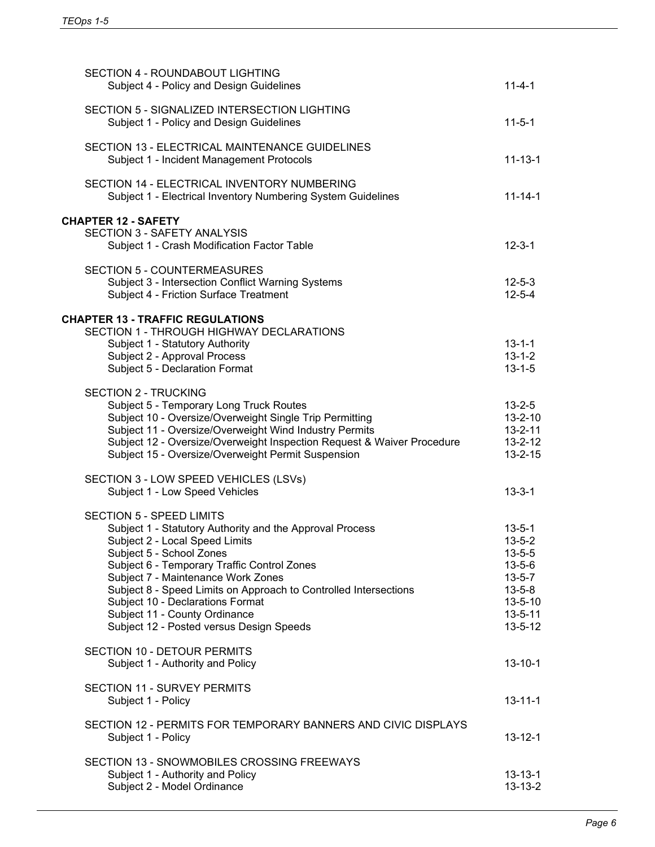| <b>SECTION 4 - ROUNDABOUT LIGHTING</b><br>Subject 4 - Policy and Design Guidelines                                                | $11 - 4 - 1$                   |
|-----------------------------------------------------------------------------------------------------------------------------------|--------------------------------|
| SECTION 5 - SIGNALIZED INTERSECTION LIGHTING<br>Subject 1 - Policy and Design Guidelines                                          | $11 - 5 - 1$                   |
| SECTION 13 - ELECTRICAL MAINTENANCE GUIDELINES<br>Subject 1 - Incident Management Protocols                                       | $11 - 13 - 1$                  |
| SECTION 14 - ELECTRICAL INVENTORY NUMBERING<br>Subject 1 - Electrical Inventory Numbering System Guidelines                       | $11 - 14 - 1$                  |
| <b>CHAPTER 12 - SAFETY</b>                                                                                                        |                                |
| <b>SECTION 3 - SAFETY ANALYSIS</b><br>Subject 1 - Crash Modification Factor Table                                                 | $12 - 3 - 1$                   |
| <b>SECTION 5 - COUNTERMEASURES</b><br>Subject 3 - Intersection Conflict Warning Systems<br>Subject 4 - Friction Surface Treatment | $12 - 5 - 3$<br>$12 - 5 - 4$   |
|                                                                                                                                   |                                |
| <b>CHAPTER 13 - TRAFFIC REGULATIONS</b><br><b>SECTION 1 - THROUGH HIGHWAY DECLARATIONS</b>                                        |                                |
| Subject 1 - Statutory Authority                                                                                                   | $13 - 1 - 1$                   |
| Subject 2 - Approval Process                                                                                                      | $13 - 1 - 2$                   |
| Subject 5 - Declaration Format                                                                                                    | $13 - 1 - 5$                   |
| <b>SECTION 2 - TRUCKING</b>                                                                                                       |                                |
| Subject 5 - Temporary Long Truck Routes                                                                                           | $13 - 2 - 5$                   |
| Subject 10 - Oversize/Overweight Single Trip Permitting                                                                           | $13 - 2 - 10$                  |
| Subject 11 - Oversize/Overweight Wind Industry Permits                                                                            | $13 - 2 - 11$                  |
| Subject 12 - Oversize/Overweight Inspection Request & Waiver Procedure<br>Subject 15 - Oversize/Overweight Permit Suspension      | $13 - 2 - 12$<br>$13 - 2 - 15$ |
|                                                                                                                                   |                                |
| SECTION 3 - LOW SPEED VEHICLES (LSVs)                                                                                             |                                |
| Subject 1 - Low Speed Vehicles                                                                                                    | $13 - 3 - 1$                   |
| <b>SECTION 5 - SPEED LIMITS</b>                                                                                                   |                                |
| Subject 1 - Statutory Authority and the Approval Process                                                                          | $13 - 5 - 1$                   |
| Subject 2 - Local Speed Limits                                                                                                    | $13 - 5 - 2$                   |
| Subject 5 - School Zones                                                                                                          | $13 - 5 - 5$                   |
| Subject 6 - Temporary Traffic Control Zones                                                                                       | $13 - 5 - 6$                   |
| Subject 7 - Maintenance Work Zones                                                                                                | $13 - 5 - 7$<br>$13 - 5 - 8$   |
| Subject 8 - Speed Limits on Approach to Controlled Intersections<br>Subject 10 - Declarations Format                              | $13 - 5 - 10$                  |
| Subject 11 - County Ordinance                                                                                                     | $13 - 5 - 11$                  |
| Subject 12 - Posted versus Design Speeds                                                                                          | $13 - 5 - 12$                  |
| <b>SECTION 10 - DETOUR PERMITS</b><br>Subject 1 - Authority and Policy                                                            | $13 - 10 - 1$                  |
|                                                                                                                                   |                                |
| SECTION 11 - SURVEY PERMITS<br>Subject 1 - Policy                                                                                 | $13 - 11 - 1$                  |
| SECTION 12 - PERMITS FOR TEMPORARY BANNERS AND CIVIC DISPLAYS                                                                     |                                |
| Subject 1 - Policy                                                                                                                | $13 - 12 - 1$                  |
| SECTION 13 - SNOWMOBILES CROSSING FREEWAYS                                                                                        |                                |
| Subject 1 - Authority and Policy                                                                                                  | $13 - 13 - 1$                  |
| Subject 2 - Model Ordinance                                                                                                       | $13 - 13 - 2$                  |
|                                                                                                                                   |                                |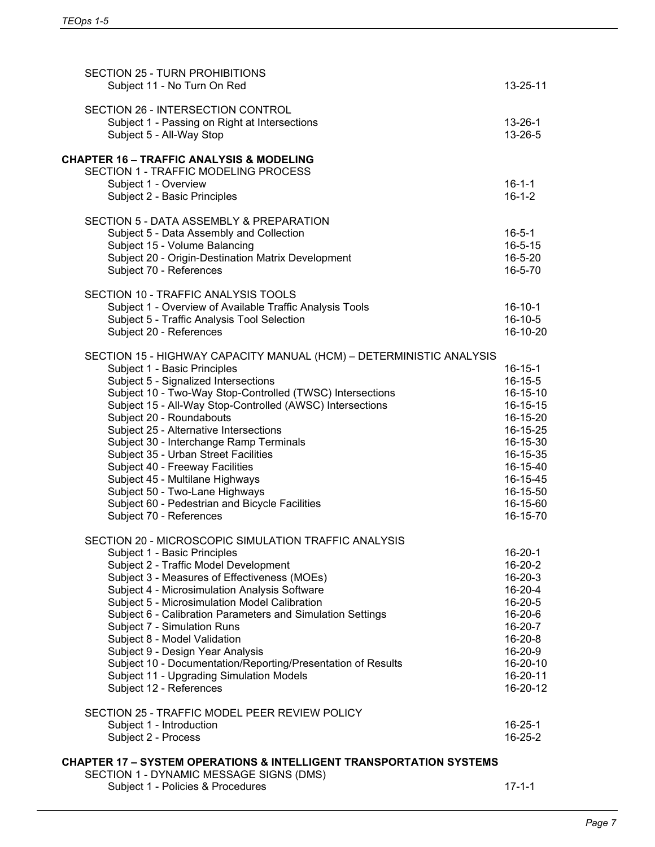| <b>SECTION 25 - TURN PROHIBITIONS</b><br>Subject 11 - No Turn On Red                                           | $13 - 25 - 11$           |
|----------------------------------------------------------------------------------------------------------------|--------------------------|
| SECTION 26 - INTERSECTION CONTROL<br>Subject 1 - Passing on Right at Intersections<br>Subject 5 - All-Way Stop | $13 - 26 - 1$<br>13-26-5 |
| <b>CHAPTER 16 - TRAFFIC ANALYSIS &amp; MODELING</b>                                                            |                          |
| SECTION 1 - TRAFFIC MODELING PROCESS                                                                           |                          |
| Subject 1 - Overview                                                                                           | $16 - 1 - 1$             |
| Subject 2 - Basic Principles                                                                                   | $16 - 1 - 2$             |
| SECTION 5 - DATA ASSEMBLY & PREPARATION                                                                        |                          |
| Subject 5 - Data Assembly and Collection                                                                       | $16 - 5 - 1$             |
| Subject 15 - Volume Balancing                                                                                  | $16 - 5 - 15$            |
| Subject 20 - Origin-Destination Matrix Development                                                             | 16-5-20                  |
| Subject 70 - References                                                                                        | 16-5-70                  |
| SECTION 10 - TRAFFIC ANALYSIS TOOLS                                                                            |                          |
| Subject 1 - Overview of Available Traffic Analysis Tools                                                       | $16 - 10 - 1$            |
| Subject 5 - Traffic Analysis Tool Selection                                                                    | $16 - 10 - 5$            |
| Subject 20 - References                                                                                        | 16-10-20                 |
| SECTION 15 - HIGHWAY CAPACITY MANUAL (HCM) - DETERMINISTIC ANALYSIS                                            |                          |
| Subject 1 - Basic Principles                                                                                   | $16 - 15 - 1$            |
| Subject 5 - Signalized Intersections                                                                           | $16 - 15 - 5$            |
| Subject 10 - Two-Way Stop-Controlled (TWSC) Intersections                                                      | 16-15-10                 |
| Subject 15 - All-Way Stop-Controlled (AWSC) Intersections                                                      | 16-15-15                 |
| Subject 20 - Roundabouts                                                                                       | 16-15-20                 |
| Subject 25 - Alternative Intersections                                                                         | 16-15-25<br>16-15-30     |
| Subject 30 - Interchange Ramp Terminals<br>Subject 35 - Urban Street Facilities                                | 16-15-35                 |
| Subject 40 - Freeway Facilities                                                                                | 16-15-40                 |
| Subject 45 - Multilane Highways                                                                                | 16-15-45                 |
| Subject 50 - Two-Lane Highways                                                                                 | 16-15-50                 |
| Subject 60 - Pedestrian and Bicycle Facilities                                                                 | 16-15-60                 |
| Subject 70 - References                                                                                        | 16-15-70                 |
| SECTION 20 - MICROSCOPIC SIMULATION TRAFFIC ANALYSIS                                                           |                          |
| Subject 1 - Basic Principles                                                                                   | $16 - 20 - 1$            |
| Subject 2 - Traffic Model Development                                                                          | 16-20-2                  |
| Subject 3 - Measures of Effectiveness (MOEs)                                                                   | $16 - 20 - 3$            |
| Subject 4 - Microsimulation Analysis Software                                                                  | 16-20-4                  |
| Subject 5 - Microsimulation Model Calibration                                                                  | 16-20-5                  |
| Subject 6 - Calibration Parameters and Simulation Settings                                                     | 16-20-6                  |
| Subject 7 - Simulation Runs                                                                                    | 16-20-7                  |
| Subject 8 - Model Validation                                                                                   | $16 - 20 - 8$            |
| Subject 9 - Design Year Analysis                                                                               | 16-20-9                  |
| Subject 10 - Documentation/Reporting/Presentation of Results                                                   | 16-20-10<br>16-20-11     |
| Subject 11 - Upgrading Simulation Models<br>Subject 12 - References                                            | 16-20-12                 |
|                                                                                                                |                          |
| SECTION 25 - TRAFFIC MODEL PEER REVIEW POLICY                                                                  | $16 - 25 - 1$            |
| Subject 1 - Introduction<br>Subject 2 - Process                                                                | 16-25-2                  |
|                                                                                                                |                          |
| <b>CHAPTER 17 - SYSTEM OPERATIONS &amp; INTELLIGENT TRANSPORTATION SYSTEMS</b>                                 |                          |
| SECTION 1 - DYNAMIC MESSAGE SIGNS (DMS)                                                                        |                          |
| Subject 1 - Policies & Procedures                                                                              | $17 - 1 - 1$             |